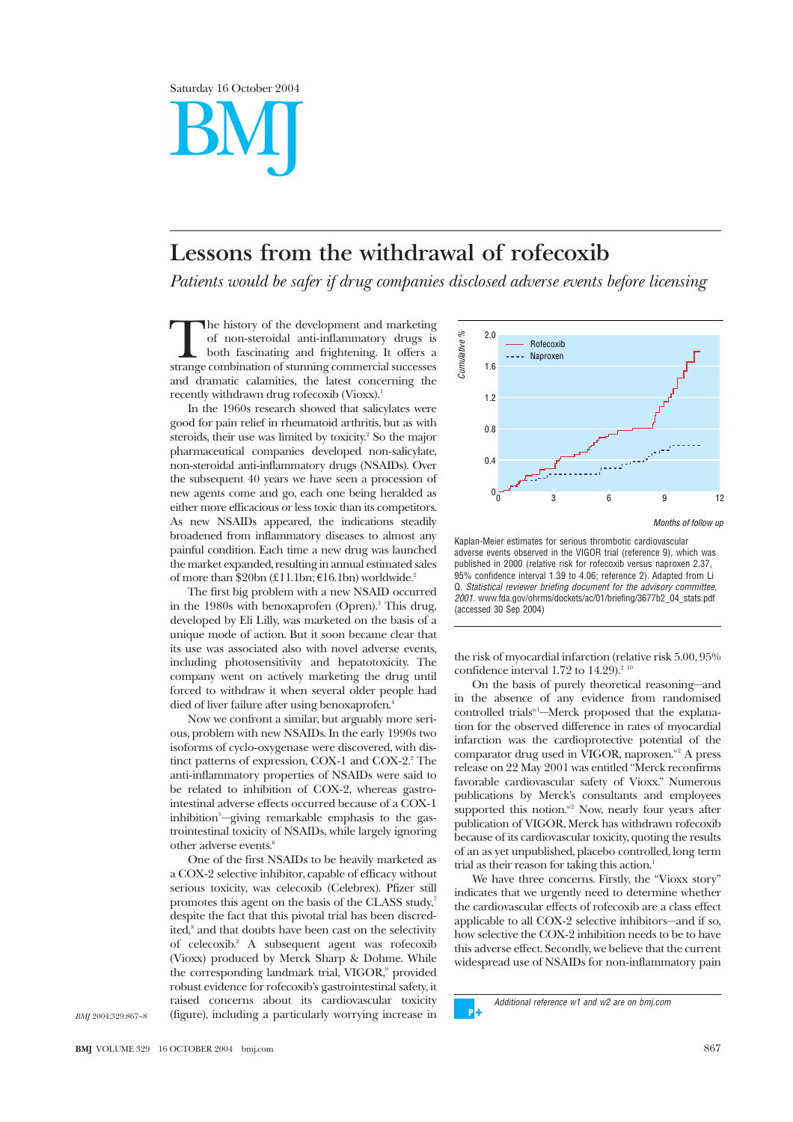Saturday 16 October 2004 BMJ

## **Lessons from the withdrawal of rofecoxib**

*Patients would be safer if drug companies disclosed adverse events before licensing*

The history of the development and marketing<br>of non-steroidal anti-inflammatory drugs is<br>both fascinating and frightening. It offers a<br>strange combination of stunning commercial successes of non-steroidal anti-inflammatory drugs is both fascinating and frightening. It offers a and dramatic calamities, the latest concerning the recently withdrawn drug rofecoxib (Vioxx).<sup>1</sup>

In the 1960s research showed that salicylates were good for pain relief in rheumatoid arthritis, but as with steroids, their use was limited by toxicity.<sup>2</sup> So the major pharmaceutical companies developed non-salicylate, non-steroidal anti-inflammatory drugs (NSAIDs). Over the subsequent 40 years we have seen a procession of new agents come and go, each one being heralded as either more efficacious or less toxic than its competitors. As new NSAIDs appeared, the indications steadily broadened from inflammatory diseases to almost any painful condition. Each time a new drug was launched the market expanded, resulting in annual estimated sales of more than  $$20bn (£11.1bn; €16.1bn)$  worldwide.<sup>2</sup>

The first big problem with a new NSAID occurred in the 1980s with benoxaprofen (Opren).3 This drug, developed by Eli Lilly, was marketed on the basis of a unique mode of action. But it soon became clear that its use was associated also with novel adverse events, including photosensitivity and hepatotoxicity. The company went on actively marketing the drug until forced to withdraw it when several older people had died of liver failure after using benoxaprofen.4

Now we confront a similar, but arguably more serious, problem with new NSAIDs. In the early 1990s two isoforms of cyclo-oxygenase were discovered, with distinct patterns of expression, COX-1 and COX-2. $2$ <sup>2</sup> The anti-inflammatory properties of NSAIDs were said to be related to inhibition of COX-2, whereas gastrointestinal adverse effects occurred because of a COX-1 inhibition<sup>5</sup>—giving remarkable emphasis to the gastrointestinal toxicity of NSAIDs, while largely ignoring other adverse events.<sup>6</sup>

One of the first NSAIDs to be heavily marketed as a COX-2 selective inhibitor, capable of efficacy without serious toxicity, was celecoxib (Celebrex). Pfizer still promotes this agent on the basis of the CLASS study,<sup>7</sup> despite the fact that this pivotal trial has been discredited,<sup>8</sup> and that doubts have been cast on the selectivity of celecoxib.2 A subsequent agent was rofecoxib (Vioxx) produced by Merck Sharp & Dohme. While the corresponding landmark trial, VIGOR,<sup>9</sup> provided robust evidence for rofecoxib's gastrointestinal safety, it raised concerns about its cardiovascular toxicity (figure), including a particularly worrying increase in



Kaplan-Meier estimates for serious thrombotic cardiovascular adverse events observed in the VIGOR trial (reference 9), which was published in 2000 (relative risk for rofecoxib versus naproxen 2.37, 95% confidence interval 1.39 to 4.06; reference 2). Adapted from Li Q. Statistical reviewer briefing document for the advisory committee, 2001. www.fda.gov/ohrms/dockets/ac/01/briefing/3677b2\_04\_stats.pdf (accessed 30 Sep 2004)

the risk of myocardial infarction (relative risk 5.00, 95% confidence interval 1.72 to  $14.29$ ).<sup>2</sup>

On the basis of purely theoretical reasoning—and in the absence of any evidence from randomised controlled trials<sup>w1</sup>—Merck proposed that the explanation for the observed difference in rates of myocardial infarction was the cardioprotective potential of the comparator drug used in VIGOR, naproxen. $w<sup>2</sup>$  A press release on 22 May 2001 was entitled "Merck reconfirms favorable cardiovascular safety of Vioxx." Numerous publications by Merck's consultants and employees supported this notion. $x^2$  Now, nearly four years after publication of VIGOR, Merck has withdrawn rofecoxib because of its cardiovascular toxicity, quoting the results of an as yet unpublished, placebo controlled, long term trial as their reason for taking this action.<sup>1</sup>

We have three concerns. Firstly, the "Vioxx story" indicates that we urgently need to determine whether the cardiovascular effects of rofecoxib are a class effect applicable to all COX-2 selective inhibitors—and if so, how selective the COX-2 inhibition needs to be to have this adverse effect. Secondly, we believe that the current widespread use of NSAIDs for non-inflammatory pain

Additional reference w1 and w2 are on bmj.com

 $\mathbf{D}$